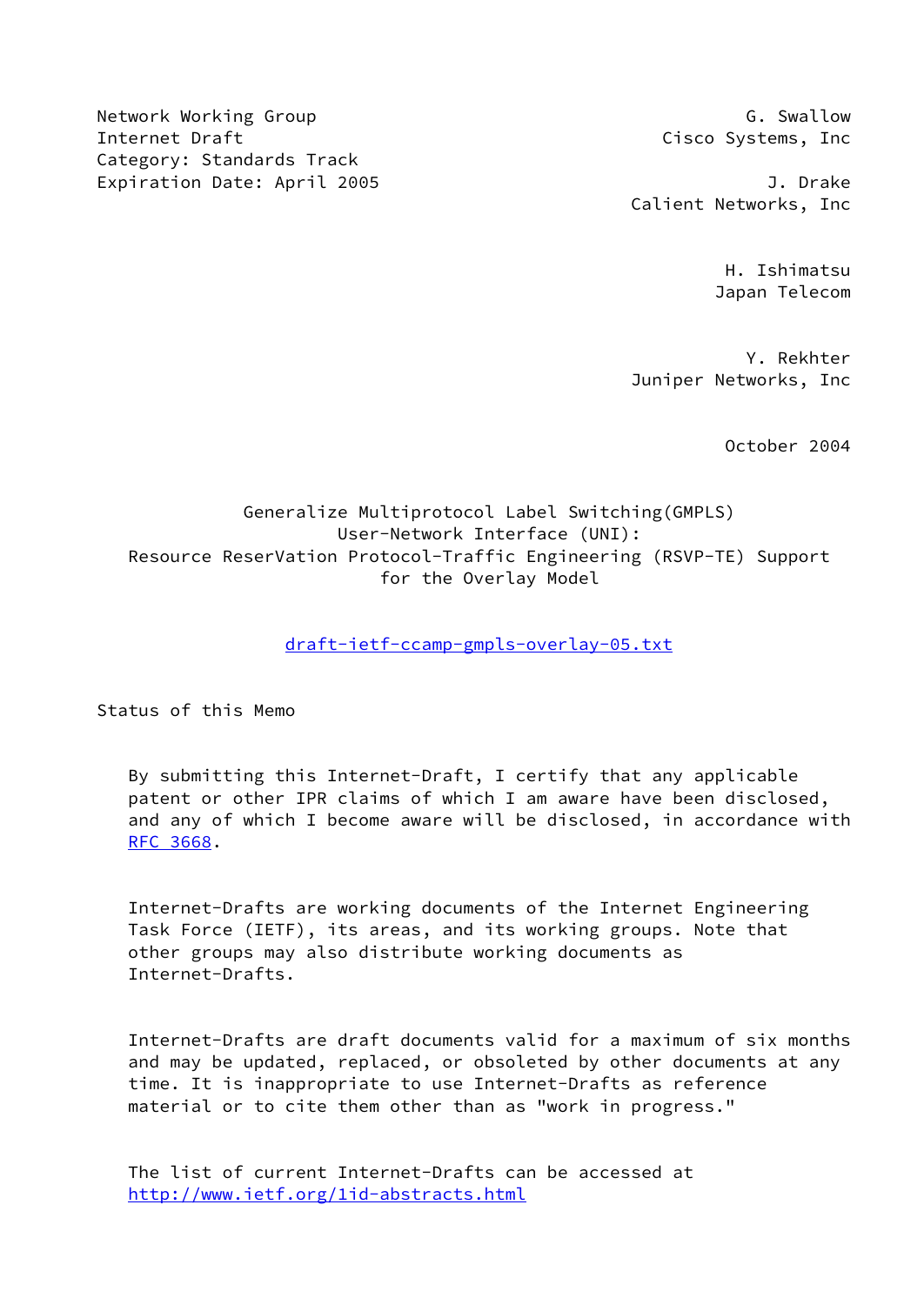Network Working Group Group G. Swallow Internet Draft Cisco Systems, Inc Category: Standards Track Expiration Date: April 2005 **J. Drake** 

Calient Networks, Inc

 H. Ishimatsu Japan Telecom

 Y. Rekhter Juniper Networks, Inc

October 2004

# Generalize Multiprotocol Label Switching(GMPLS) User-Network Interface (UNI): Resource ReserVation Protocol-Traffic Engineering (RSVP-TE) Support for the Overlay Model

## [draft-ietf-ccamp-gmpls-overlay-05.txt](https://datatracker.ietf.org/doc/pdf/draft-ietf-ccamp-gmpls-overlay-05.txt)

Status of this Memo

 By submitting this Internet-Draft, I certify that any applicable patent or other IPR claims of which I am aware have been disclosed, and any of which I become aware will be disclosed, in accordance with [RFC 3668](https://datatracker.ietf.org/doc/pdf/rfc3668).

 Internet-Drafts are working documents of the Internet Engineering Task Force (IETF), its areas, and its working groups. Note that other groups may also distribute working documents as Internet-Drafts.

 Internet-Drafts are draft documents valid for a maximum of six months and may be updated, replaced, or obsoleted by other documents at any time. It is inappropriate to use Internet-Drafts as reference material or to cite them other than as "work in progress."

 The list of current Internet-Drafts can be accessed at <http://www.ietf.org/1id-abstracts.html>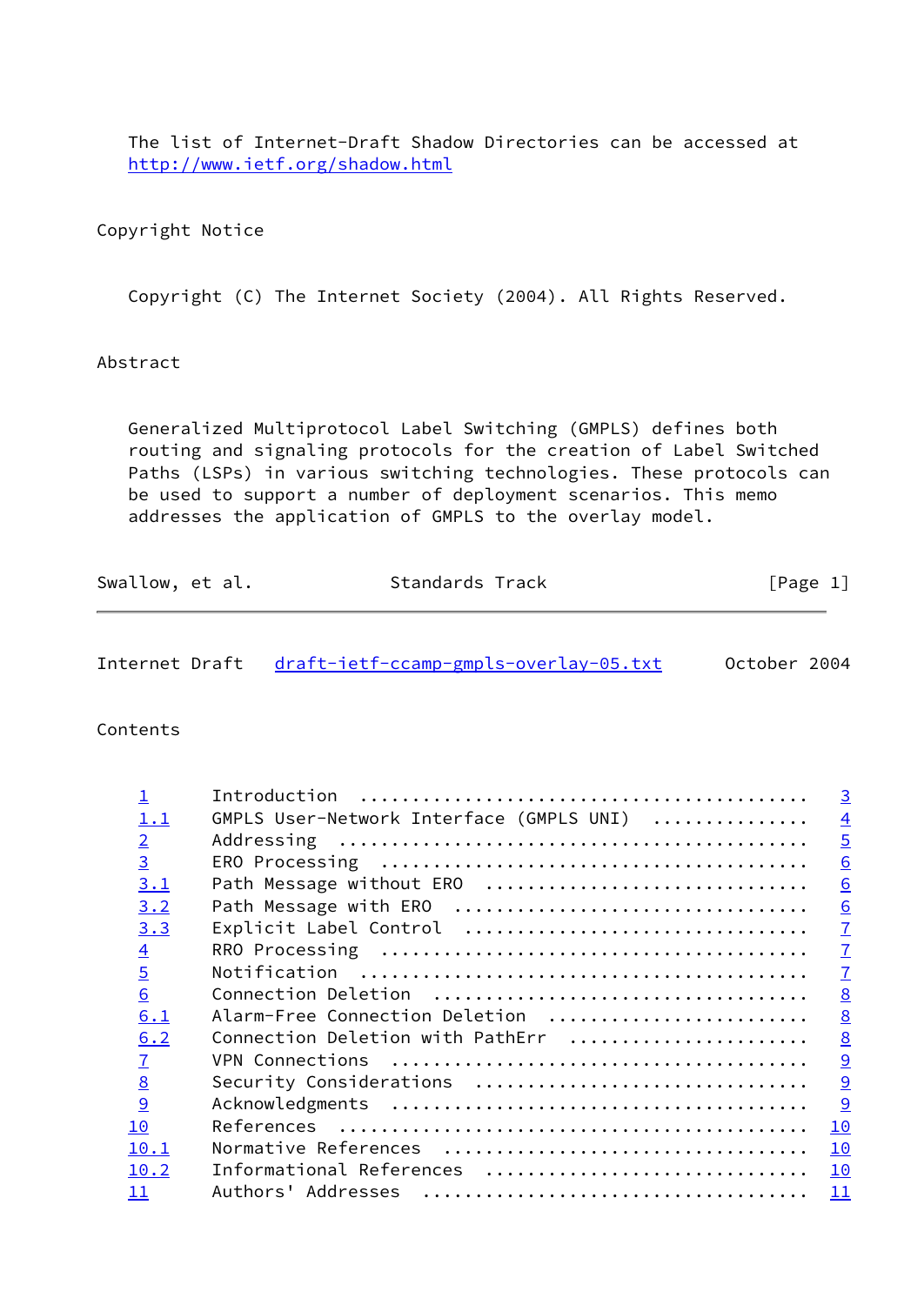The list of Internet-Draft Shadow Directories can be accessed at <http://www.ietf.org/shadow.html>

## Copyright Notice

Copyright (C) The Internet Society (2004). All Rights Reserved.

## Abstract

 Generalized Multiprotocol Label Switching (GMPLS) defines both routing and signaling protocols for the creation of Label Switched Paths (LSPs) in various switching technologies. These protocols can be used to support a number of deployment scenarios. This memo addresses the application of GMPLS to the overlay model.

| Swallow, et al. | Standards Track | [Page 1] |
|-----------------|-----------------|----------|
|                 |                 |          |

| Internet Draft draft-ietf-ccamp-gmpls-overlay-05.txt |  |  | October 2004 |  |
|------------------------------------------------------|--|--|--------------|--|
|                                                      |  |  |              |  |

### Contents

| $\overline{\mathsf{I}}$ | Introduction                             | $\overline{3}$  |
|-------------------------|------------------------------------------|-----------------|
| 1.1                     | GMPLS User-Network Interface (GMPLS UNI) | $\overline{4}$  |
| $\overline{2}$          |                                          | $\overline{5}$  |
| $\overline{3}$          |                                          | 6               |
| 3.1                     | Path Message without ERO                 | 6               |
| 3.2                     |                                          | 6               |
| 3.3                     | Explicit Label Control                   | $\underline{7}$ |
| $\overline{4}$          |                                          | $\underline{7}$ |
| $\overline{5}$          |                                          | $\mathbf{I}$    |
| 6                       |                                          | 8               |
| 6.1                     | Alarm-Free Connection Deletion           | 8               |
| 6.2                     | Connection Deletion with PathErr         | $\underline{8}$ |
| $\overline{1}$          |                                          | $\overline{9}$  |
| 8                       | Security Considerations                  | $\overline{9}$  |
| 9                       |                                          | 9               |
| 10                      |                                          | 10              |
| 10.1                    |                                          | 10              |
| 10.2                    | Informational References                 | 10              |
| 11                      | Authors' Addresses                       | 11              |
|                         |                                          |                 |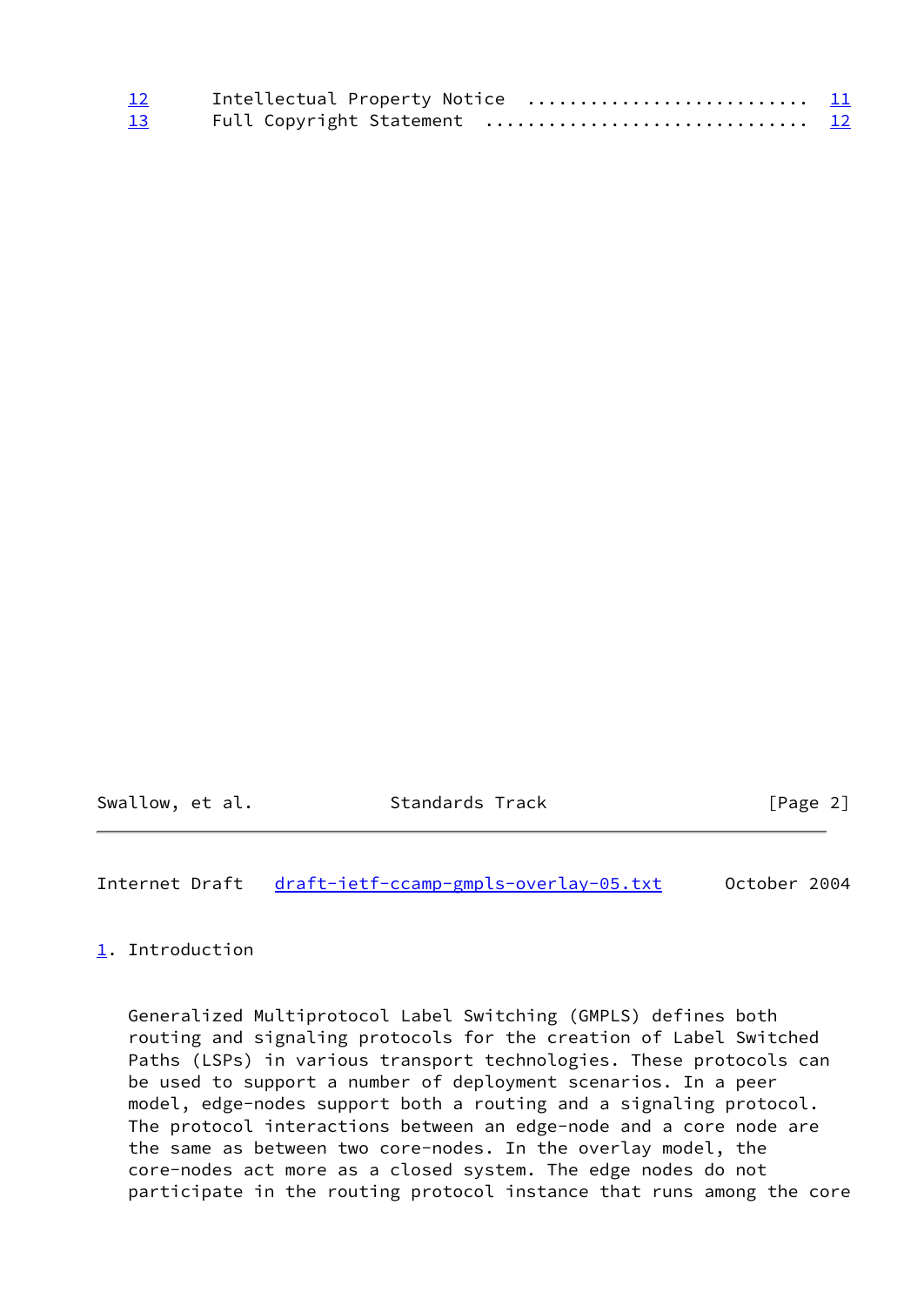| $\frac{12}{1}$ | Intellectual Property Notice  11 |  |
|----------------|----------------------------------|--|
| 13             |                                  |  |

Swallow, et al. Standards Track [Page 2]

<span id="page-2-1"></span>Internet Draft [draft-ietf-ccamp-gmpls-overlay-05.txt](https://datatracker.ietf.org/doc/pdf/draft-ietf-ccamp-gmpls-overlay-05.txt) October 2004

<span id="page-2-0"></span>[1](#page-2-0). Introduction

 Generalized Multiprotocol Label Switching (GMPLS) defines both routing and signaling protocols for the creation of Label Switched Paths (LSPs) in various transport technologies. These protocols can be used to support a number of deployment scenarios. In a peer model, edge-nodes support both a routing and a signaling protocol. The protocol interactions between an edge-node and a core node are the same as between two core-nodes. In the overlay model, the core-nodes act more as a closed system. The edge nodes do not participate in the routing protocol instance that runs among the core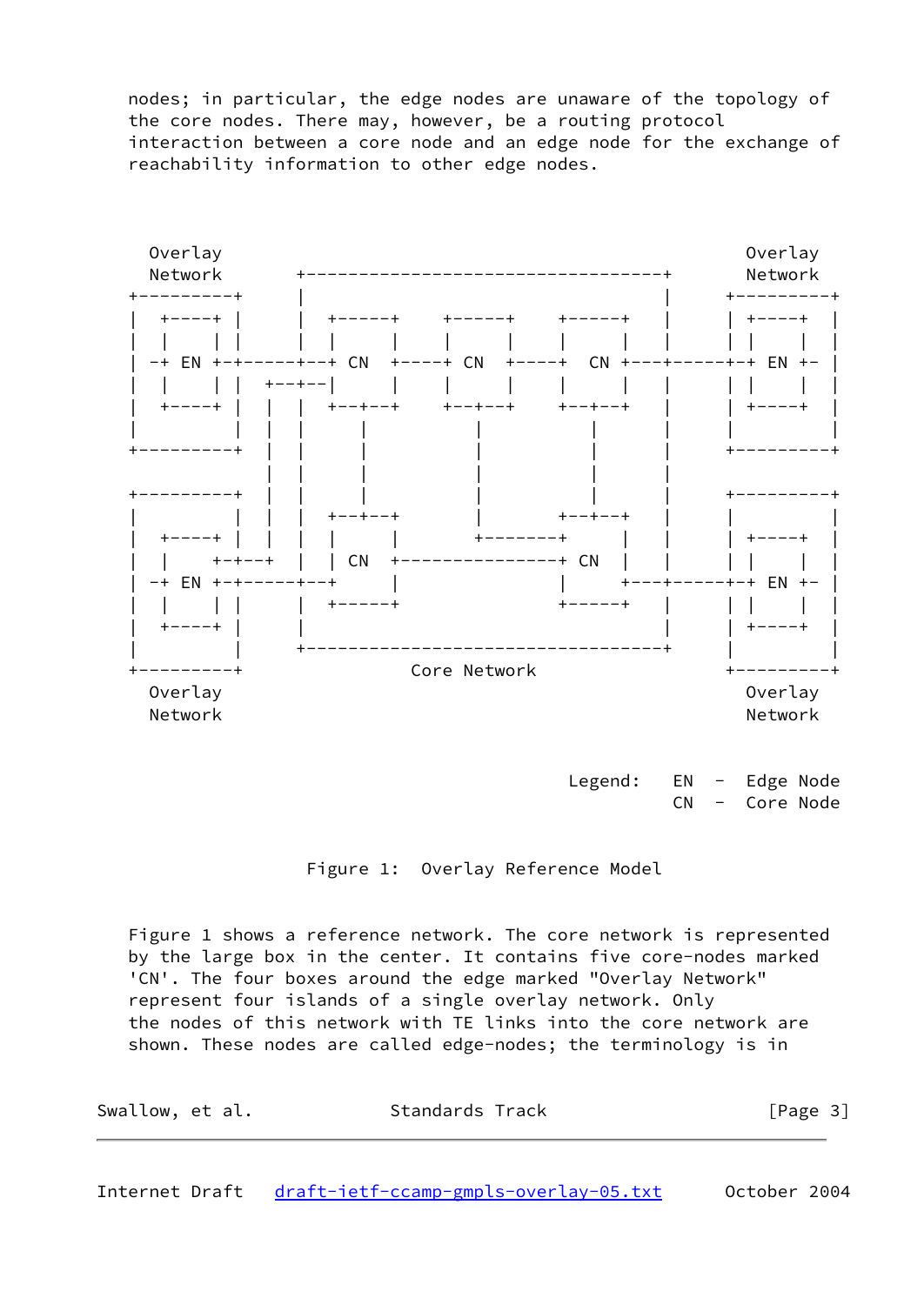nodes; in particular, the edge nodes are unaware of the topology of the core nodes. There may, however, be a routing protocol interaction between a core node and an edge node for the exchange of reachability information to other edge nodes.



Legend: EN - Edge Node CN - Core Node

#### Figure 1: Overlay Reference Model

 Figure 1 shows a reference network. The core network is represented by the large box in the center. It contains five core-nodes marked 'CN'. The four boxes around the edge marked "Overlay Network" represent four islands of a single overlay network. Only the nodes of this network with TE links into the core network are shown. These nodes are called edge-nodes; the terminology is in

| Swallow, et al. | Standards Track | [Page 3] |
|-----------------|-----------------|----------|
|                 |                 |          |

<span id="page-3-0"></span>Internet Draft [draft-ietf-ccamp-gmpls-overlay-05.txt](https://datatracker.ietf.org/doc/pdf/draft-ietf-ccamp-gmpls-overlay-05.txt) October 2004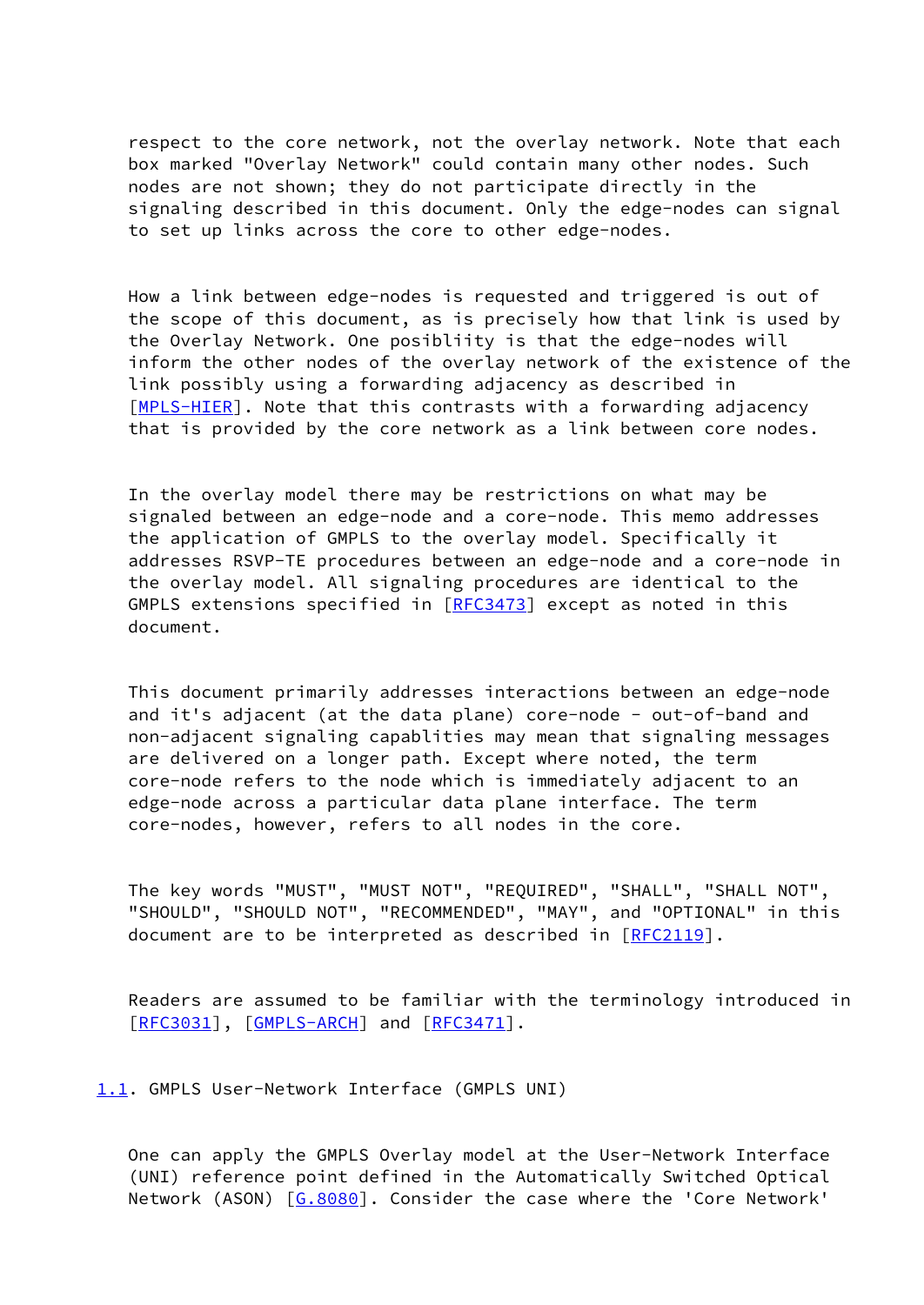respect to the core network, not the overlay network. Note that each box marked "Overlay Network" could contain many other nodes. Such nodes are not shown; they do not participate directly in the signaling described in this document. Only the edge-nodes can signal to set up links across the core to other edge-nodes.

 How a link between edge-nodes is requested and triggered is out of the scope of this document, as is precisely how that link is used by the Overlay Network. One posibliity is that the edge-nodes will inform the other nodes of the overlay network of the existence of the link possibly using a forwarding adjacency as described in [\[MPLS-HIER](#page-13-2)]. Note that this contrasts with a forwarding adjacency that is provided by the core network as a link between core nodes.

 In the overlay model there may be restrictions on what may be signaled between an edge-node and a core-node. This memo addresses the application of GMPLS to the overlay model. Specifically it addresses RSVP-TE procedures between an edge-node and a core-node in the overlay model. All signaling procedures are identical to the GMPLS extensions specified in [[RFC3473](https://datatracker.ietf.org/doc/pdf/rfc3473)] except as noted in this document.

 This document primarily addresses interactions between an edge-node and it's adjacent (at the data plane) core-node - out-of-band and non-adjacent signaling capablities may mean that signaling messages are delivered on a longer path. Except where noted, the term core-node refers to the node which is immediately adjacent to an edge-node across a particular data plane interface. The term core-nodes, however, refers to all nodes in the core.

 The key words "MUST", "MUST NOT", "REQUIRED", "SHALL", "SHALL NOT", "SHOULD", "SHOULD NOT", "RECOMMENDED", "MAY", and "OPTIONAL" in this document are to be interpreted as described in [\[RFC2119](https://datatracker.ietf.org/doc/pdf/rfc2119)].

 Readers are assumed to be familiar with the terminology introduced in [\[RFC3031](https://datatracker.ietf.org/doc/pdf/rfc3031)], [[GMPLS-ARCH\]](#page-13-3) and [\[RFC3471](https://datatracker.ietf.org/doc/pdf/rfc3471)].

<span id="page-4-0"></span>[1.1](#page-4-0). GMPLS User-Network Interface (GMPLS UNI)

 One can apply the GMPLS Overlay model at the User-Network Interface (UNI) reference point defined in the Automatically Switched Optical Network (ASON) [\[G.8080](#page-13-4)]. Consider the case where the 'Core Network'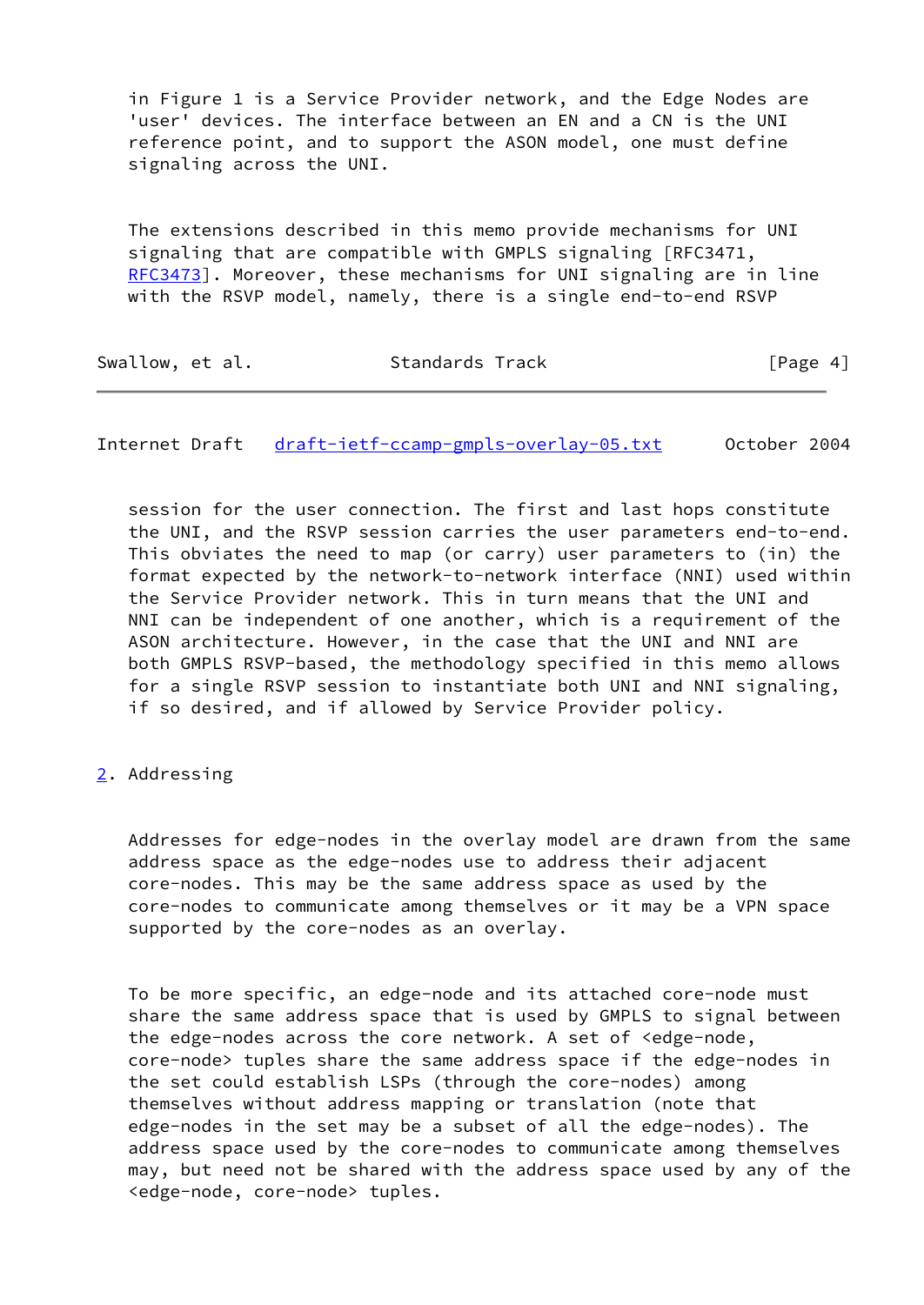in Figure 1 is a Service Provider network, and the Edge Nodes are 'user' devices. The interface between an EN and a CN is the UNI reference point, and to support the ASON model, one must define signaling across the UNI.

 The extensions described in this memo provide mechanisms for UNI signaling that are compatible with GMPLS signaling [RFC3471, [RFC3473](https://datatracker.ietf.org/doc/pdf/rfc3473)]. Moreover, these mechanisms for UNI signaling are in line with the RSVP model, namely, there is a single end-to-end RSVP

| Swallow, et al. | Standards Track | [Page 4] |
|-----------------|-----------------|----------|
|-----------------|-----------------|----------|

<span id="page-5-1"></span>Internet Draft [draft-ietf-ccamp-gmpls-overlay-05.txt](https://datatracker.ietf.org/doc/pdf/draft-ietf-ccamp-gmpls-overlay-05.txt) 0ctober 2004

 session for the user connection. The first and last hops constitute the UNI, and the RSVP session carries the user parameters end-to-end. This obviates the need to map (or carry) user parameters to (in) the format expected by the network-to-network interface (NNI) used within the Service Provider network. This in turn means that the UNI and NNI can be independent of one another, which is a requirement of the ASON architecture. However, in the case that the UNI and NNI are both GMPLS RSVP-based, the methodology specified in this memo allows for a single RSVP session to instantiate both UNI and NNI signaling, if so desired, and if allowed by Service Provider policy.

<span id="page-5-0"></span>[2](#page-5-0). Addressing

 Addresses for edge-nodes in the overlay model are drawn from the same address space as the edge-nodes use to address their adjacent core-nodes. This may be the same address space as used by the core-nodes to communicate among themselves or it may be a VPN space supported by the core-nodes as an overlay.

 To be more specific, an edge-node and its attached core-node must share the same address space that is used by GMPLS to signal between the edge-nodes across the core network. A set of <edge-node, core-node> tuples share the same address space if the edge-nodes in the set could establish LSPs (through the core-nodes) among themselves without address mapping or translation (note that edge-nodes in the set may be a subset of all the edge-nodes). The address space used by the core-nodes to communicate among themselves may, but need not be shared with the address space used by any of the <edge-node, core-node> tuples.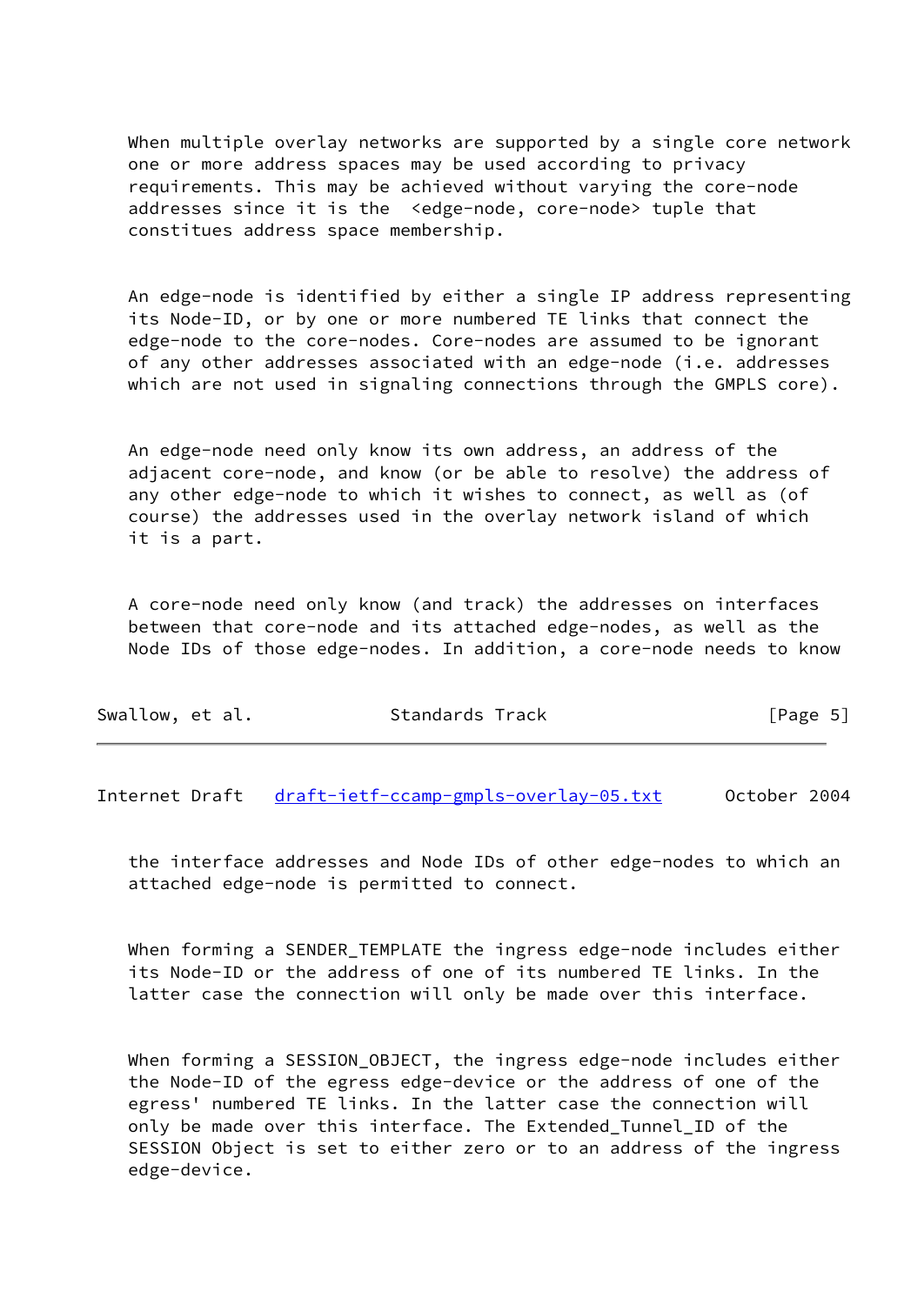When multiple overlay networks are supported by a single core network one or more address spaces may be used according to privacy requirements. This may be achieved without varying the core-node addresses since it is the <edge-node, core-node> tuple that constitues address space membership.

 An edge-node is identified by either a single IP address representing its Node-ID, or by one or more numbered TE links that connect the edge-node to the core-nodes. Core-nodes are assumed to be ignorant of any other addresses associated with an edge-node (i.e. addresses which are not used in signaling connections through the GMPLS core).

 An edge-node need only know its own address, an address of the adjacent core-node, and know (or be able to resolve) the address of any other edge-node to which it wishes to connect, as well as (of course) the addresses used in the overlay network island of which it is a part.

 A core-node need only know (and track) the addresses on interfaces between that core-node and its attached edge-nodes, as well as the Node IDs of those edge-nodes. In addition, a core-node needs to know

| Swallow, et al. | Standards Track | [Page 5] |  |
|-----------------|-----------------|----------|--|
|                 |                 |          |  |

<span id="page-6-0"></span>Internet Draft [draft-ietf-ccamp-gmpls-overlay-05.txt](https://datatracker.ietf.org/doc/pdf/draft-ietf-ccamp-gmpls-overlay-05.txt) October 2004

 the interface addresses and Node IDs of other edge-nodes to which an attached edge-node is permitted to connect.

When forming a SENDER TEMPLATE the ingress edge-node includes either its Node-ID or the address of one of its numbered TE links. In the latter case the connection will only be made over this interface.

 When forming a SESSION\_OBJECT, the ingress edge-node includes either the Node-ID of the egress edge-device or the address of one of the egress' numbered TE links. In the latter case the connection will only be made over this interface. The Extended\_Tunnel\_ID of the SESSION Object is set to either zero or to an address of the ingress edge-device.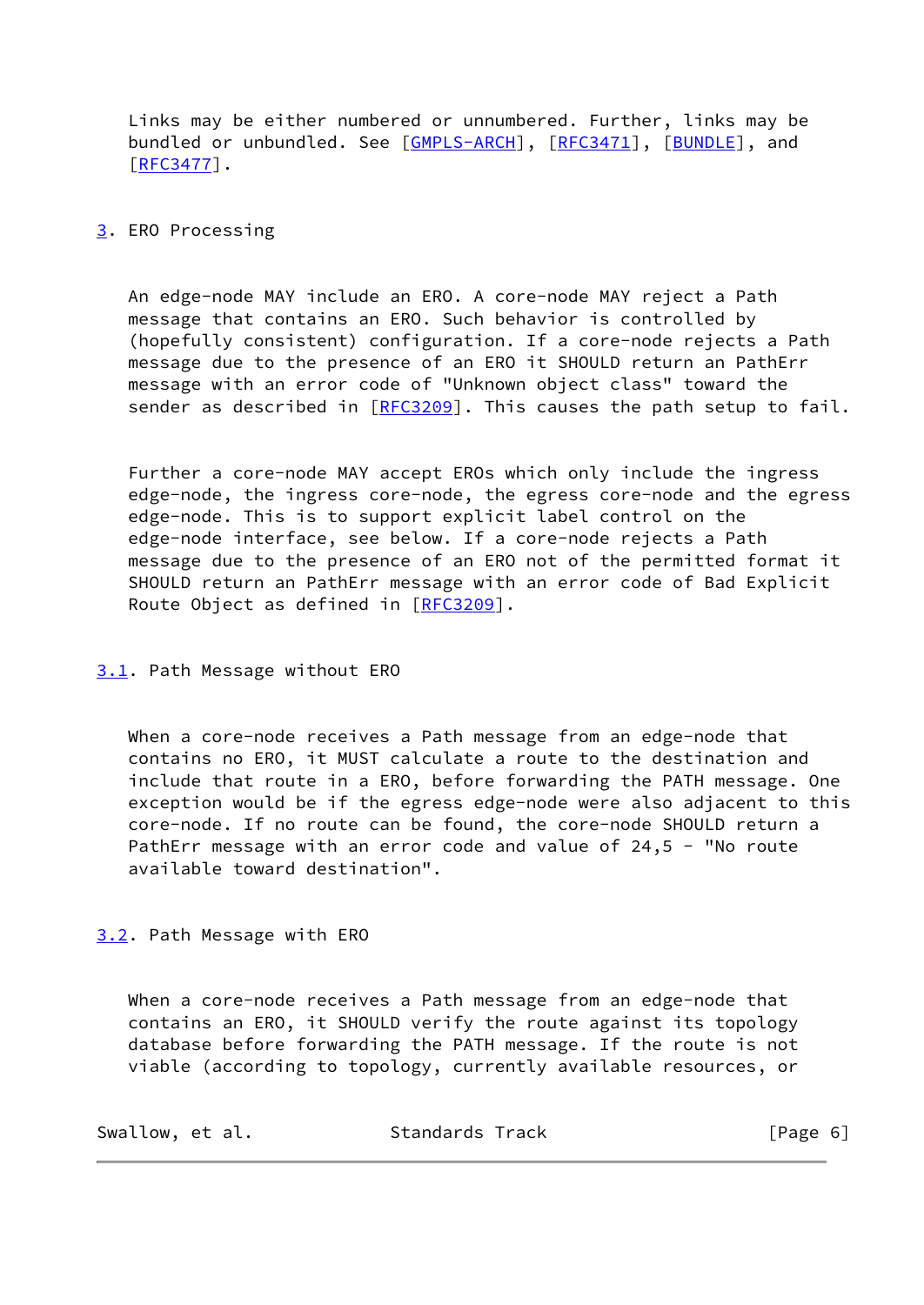Links may be either numbered or unnumbered. Further, links may be bundled or unbundled. See [[GMPLS-ARCH\]](#page-13-3), [\[RFC3471](https://datatracker.ietf.org/doc/pdf/rfc3471)], [[BUNDLE](#page-13-5)], and [\[RFC3477](https://datatracker.ietf.org/doc/pdf/rfc3477)].

### <span id="page-7-0"></span>[3](#page-7-0). ERO Processing

 An edge-node MAY include an ERO. A core-node MAY reject a Path message that contains an ERO. Such behavior is controlled by (hopefully consistent) configuration. If a core-node rejects a Path message due to the presence of an ERO it SHOULD return an PathErr message with an error code of "Unknown object class" toward the sender as described in  $[REC3209]$ . This causes the path setup to fail.

 Further a core-node MAY accept EROs which only include the ingress edge-node, the ingress core-node, the egress core-node and the egress edge-node. This is to support explicit label control on the edge-node interface, see below. If a core-node rejects a Path message due to the presence of an ERO not of the permitted format it SHOULD return an PathErr message with an error code of Bad Explicit Route Object as defined in [[RFC3209\]](https://datatracker.ietf.org/doc/pdf/rfc3209).

<span id="page-7-1"></span>[3.1](#page-7-1). Path Message without ERO

When a core-node receives a Path message from an edge-node that contains no ERO, it MUST calculate a route to the destination and include that route in a ERO, before forwarding the PATH message. One exception would be if the egress edge-node were also adjacent to this core-node. If no route can be found, the core-node SHOULD return a PathErr message with an error code and value of 24,5 - "No route available toward destination".

<span id="page-7-2"></span>[3.2](#page-7-2). Path Message with ERO

When a core-node receives a Path message from an edge-node that contains an ERO, it SHOULD verify the route against its topology database before forwarding the PATH message. If the route is not viable (according to topology, currently available resources, or

| Swallow, et al. | Standards Track | [Page 6] |
|-----------------|-----------------|----------|
|-----------------|-----------------|----------|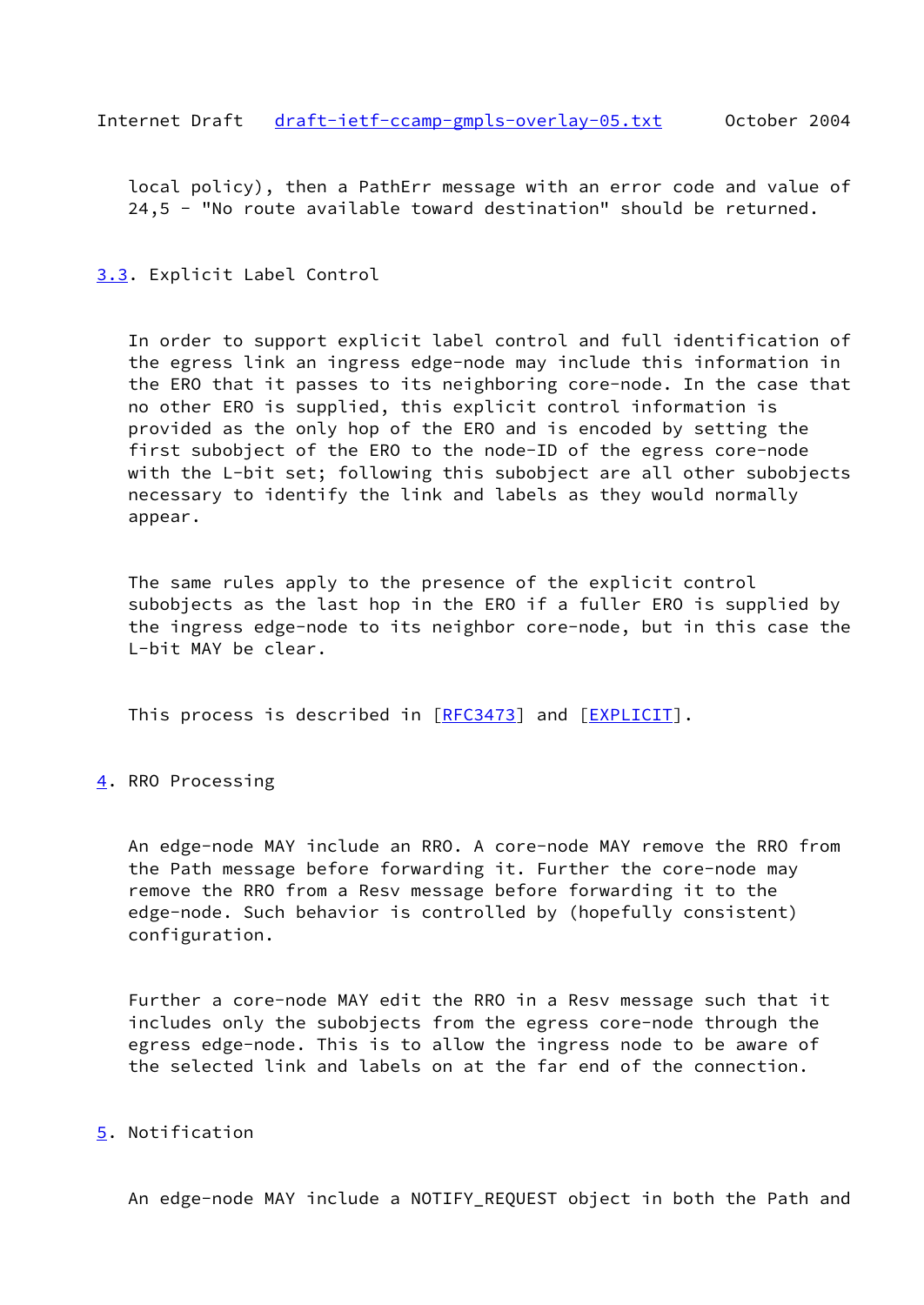<span id="page-8-1"></span> local policy), then a PathErr message with an error code and value of 24,5 - "No route available toward destination" should be returned.

<span id="page-8-0"></span>[3.3](#page-8-0). Explicit Label Control

 In order to support explicit label control and full identification of the egress link an ingress edge-node may include this information in the ERO that it passes to its neighboring core-node. In the case that no other ERO is supplied, this explicit control information is provided as the only hop of the ERO and is encoded by setting the first subobject of the ERO to the node-ID of the egress core-node with the L-bit set; following this subobject are all other subobjects necessary to identify the link and labels as they would normally appear.

 The same rules apply to the presence of the explicit control subobjects as the last hop in the ERO if a fuller ERO is supplied by the ingress edge-node to its neighbor core-node, but in this case the L-bit MAY be clear.

This process is described in [\[RFC3473](https://datatracker.ietf.org/doc/pdf/rfc3473)] and [[EXPLICIT\]](#page-13-6).

<span id="page-8-2"></span>[4](#page-8-2). RRO Processing

 An edge-node MAY include an RRO. A core-node MAY remove the RRO from the Path message before forwarding it. Further the core-node may remove the RRO from a Resv message before forwarding it to the edge-node. Such behavior is controlled by (hopefully consistent) configuration.

 Further a core-node MAY edit the RRO in a Resv message such that it includes only the subobjects from the egress core-node through the egress edge-node. This is to allow the ingress node to be aware of the selected link and labels on at the far end of the connection.

#### <span id="page-8-3"></span>[5](#page-8-3). Notification

An edge-node MAY include a NOTIFY\_REQUEST object in both the Path and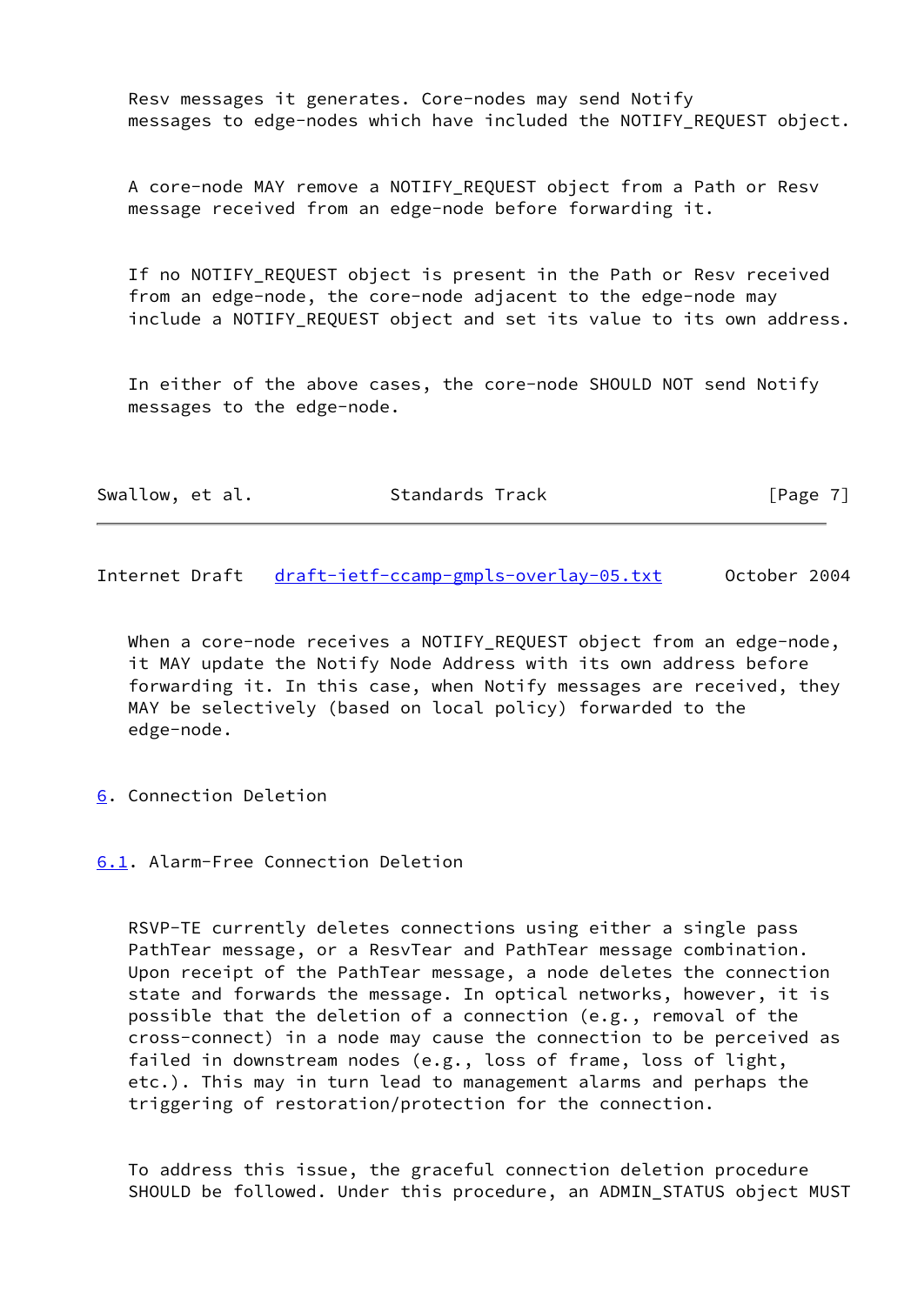Resv messages it generates. Core-nodes may send Notify messages to edge-nodes which have included the NOTIFY\_REQUEST object.

 A core-node MAY remove a NOTIFY\_REQUEST object from a Path or Resv message received from an edge-node before forwarding it.

 If no NOTIFY\_REQUEST object is present in the Path or Resv received from an edge-node, the core-node adjacent to the edge-node may include a NOTIFY\_REQUEST object and set its value to its own address.

 In either of the above cases, the core-node SHOULD NOT send Notify messages to the edge-node.

<span id="page-9-1"></span>Internet Draft [draft-ietf-ccamp-gmpls-overlay-05.txt](https://datatracker.ietf.org/doc/pdf/draft-ietf-ccamp-gmpls-overlay-05.txt) October 2004

When a core-node receives a NOTIFY\_REQUEST object from an edge-node, it MAY update the Notify Node Address with its own address before forwarding it. In this case, when Notify messages are received, they MAY be selectively (based on local policy) forwarded to the edge-node.

<span id="page-9-0"></span>[6](#page-9-0). Connection Deletion

<span id="page-9-2"></span>[6.1](#page-9-2). Alarm-Free Connection Deletion

 RSVP-TE currently deletes connections using either a single pass PathTear message, or a ResvTear and PathTear message combination. Upon receipt of the PathTear message, a node deletes the connection state and forwards the message. In optical networks, however, it is possible that the deletion of a connection (e.g., removal of the cross-connect) in a node may cause the connection to be perceived as failed in downstream nodes (e.g., loss of frame, loss of light, etc.). This may in turn lead to management alarms and perhaps the triggering of restoration/protection for the connection.

 To address this issue, the graceful connection deletion procedure SHOULD be followed. Under this procedure, an ADMIN\_STATUS object MUST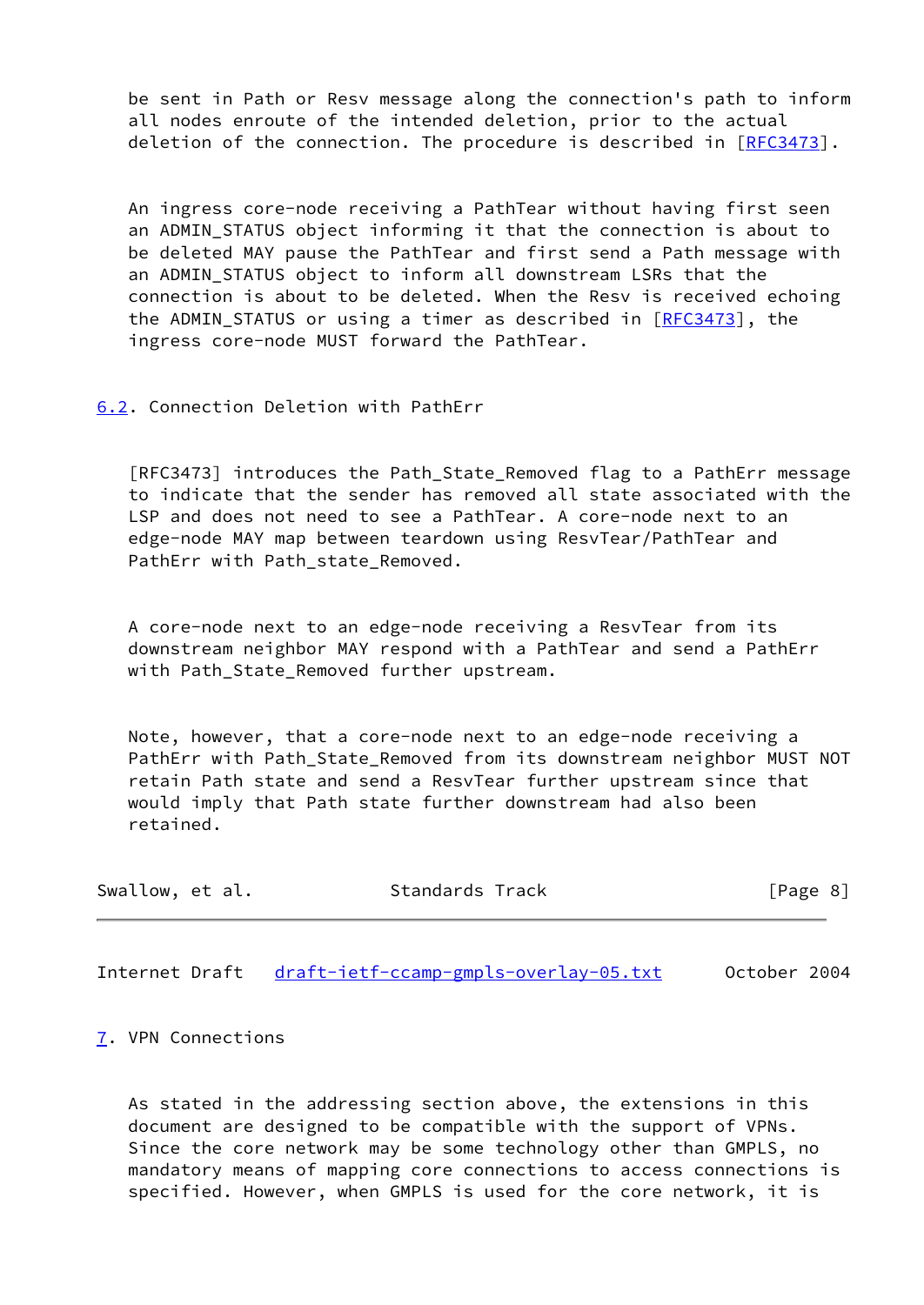be sent in Path or Resv message along the connection's path to inform all nodes enroute of the intended deletion, prior to the actual deletion of the connection. The procedure is described in [[RFC3473](https://datatracker.ietf.org/doc/pdf/rfc3473)].

 An ingress core-node receiving a PathTear without having first seen an ADMIN STATUS object informing it that the connection is about to be deleted MAY pause the PathTear and first send a Path message with an ADMIN\_STATUS object to inform all downstream LSRs that the connection is about to be deleted. When the Resv is received echoing the ADMIN\_STATUS or using a timer as described in  $[REC3473]$ , the ingress core-node MUST forward the PathTear.

<span id="page-10-0"></span>[6.2](#page-10-0). Connection Deletion with PathErr

 [RFC3473] introduces the Path\_State\_Removed flag to a PathErr message to indicate that the sender has removed all state associated with the LSP and does not need to see a PathTear. A core-node next to an edge-node MAY map between teardown using ResvTear/PathTear and PathErr with Path state Removed.

 A core-node next to an edge-node receiving a ResvTear from its downstream neighbor MAY respond with a PathTear and send a PathErr with Path\_State\_Removed further upstream.

 Note, however, that a core-node next to an edge-node receiving a PathErr with Path\_State\_Removed from its downstream neighbor MUST NOT retain Path state and send a ResvTear further upstream since that would imply that Path state further downstream had also been retained.

| Swallow, et al. | Standards Track | [Page 8] |  |
|-----------------|-----------------|----------|--|
|                 |                 |          |  |

<span id="page-10-2"></span>Internet Draft [draft-ietf-ccamp-gmpls-overlay-05.txt](https://datatracker.ietf.org/doc/pdf/draft-ietf-ccamp-gmpls-overlay-05.txt) October 2004

<span id="page-10-1"></span>[7](#page-10-1). VPN Connections

 As stated in the addressing section above, the extensions in this document are designed to be compatible with the support of VPNs. Since the core network may be some technology other than GMPLS, no mandatory means of mapping core connections to access connections is specified. However, when GMPLS is used for the core network, it is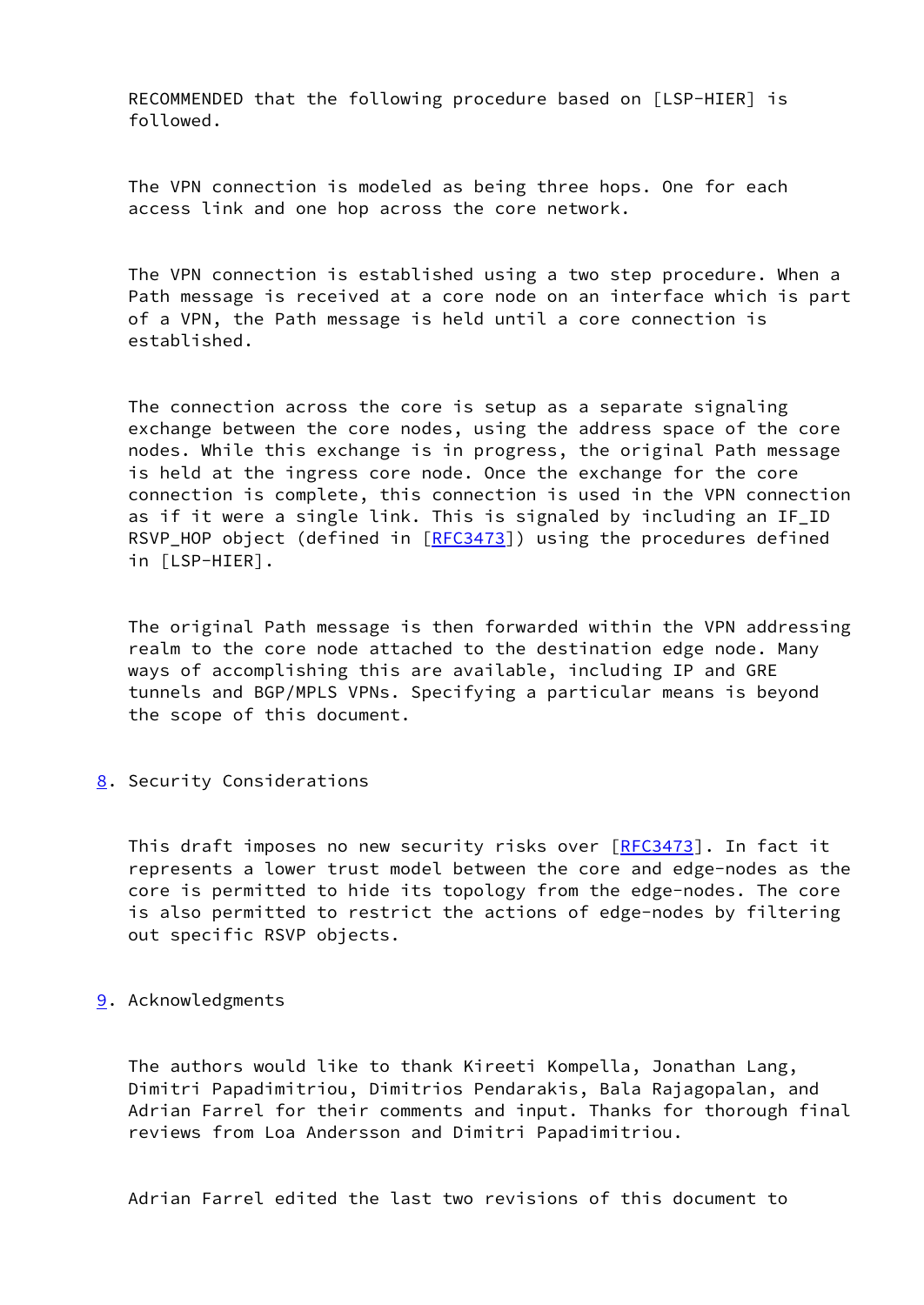RECOMMENDED that the following procedure based on [LSP-HIER] is followed.

 The VPN connection is modeled as being three hops. One for each access link and one hop across the core network.

 The VPN connection is established using a two step procedure. When a Path message is received at a core node on an interface which is part of a VPN, the Path message is held until a core connection is established.

 The connection across the core is setup as a separate signaling exchange between the core nodes, using the address space of the core nodes. While this exchange is in progress, the original Path message is held at the ingress core node. Once the exchange for the core connection is complete, this connection is used in the VPN connection as if it were a single link. This is signaled by including an IF ID RSVP\_HOP object (defined in  $[REC3473]$ ) using the procedures defined in [LSP-HIER].

 The original Path message is then forwarded within the VPN addressing realm to the core node attached to the destination edge node. Many ways of accomplishing this are available, including IP and GRE tunnels and BGP/MPLS VPNs. Specifying a particular means is beyond the scope of this document.

<span id="page-11-0"></span>[8](#page-11-0). Security Considerations

 This draft imposes no new security risks over [[RFC3473](https://datatracker.ietf.org/doc/pdf/rfc3473)]. In fact it represents a lower trust model between the core and edge-nodes as the core is permitted to hide its topology from the edge-nodes. The core is also permitted to restrict the actions of edge-nodes by filtering out specific RSVP objects.

<span id="page-11-1"></span>[9](#page-11-1). Acknowledgments

 The authors would like to thank Kireeti Kompella, Jonathan Lang, Dimitri Papadimitriou, Dimitrios Pendarakis, Bala Rajagopalan, and Adrian Farrel for their comments and input. Thanks for thorough final reviews from Loa Andersson and Dimitri Papadimitriou.

Adrian Farrel edited the last two revisions of this document to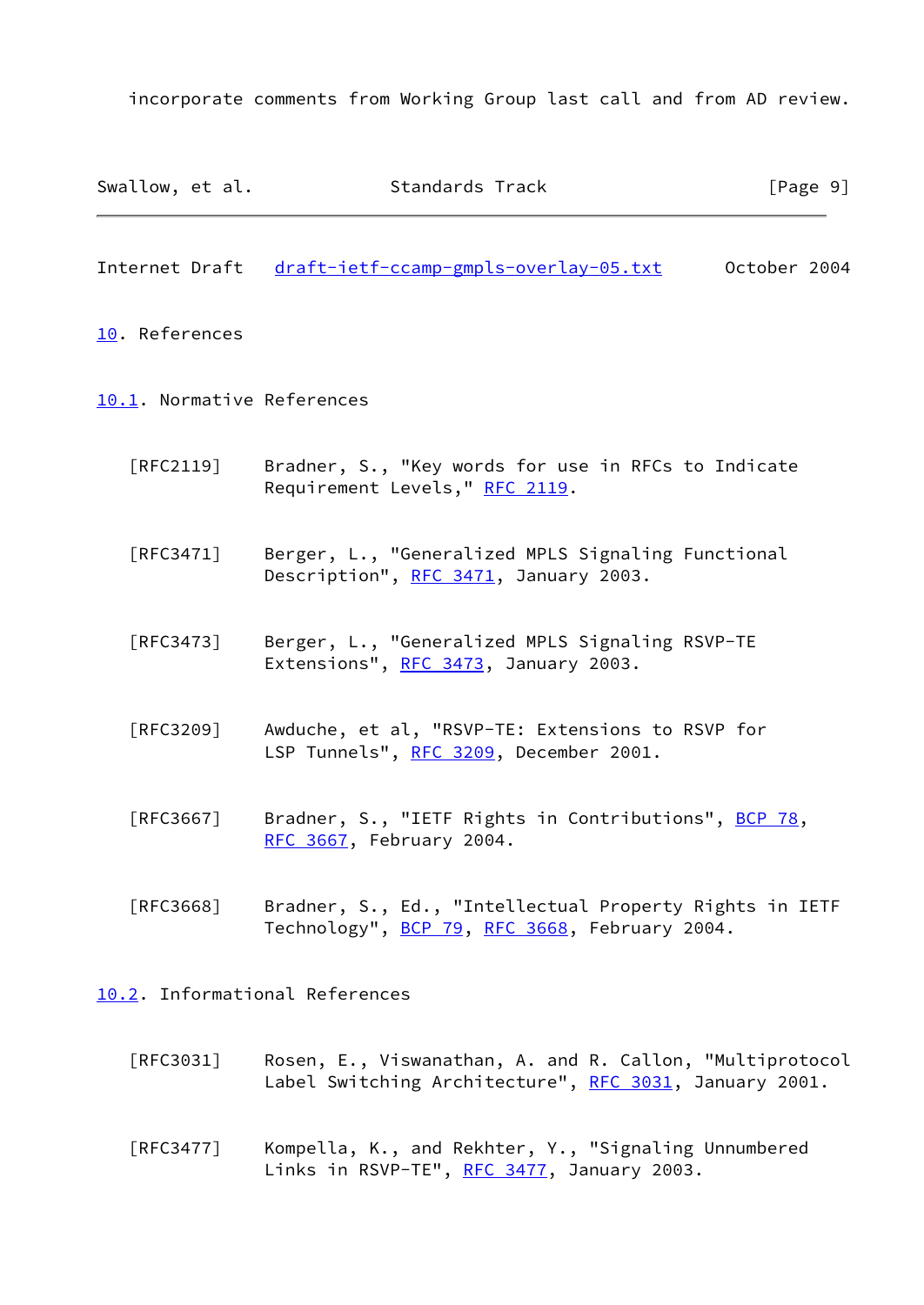incorporate comments from Working Group last call and from AD review.

<span id="page-12-2"></span><span id="page-12-1"></span><span id="page-12-0"></span>

| Swallow, et al.                  | Standards Track                                                                                          | [Page 9]     |  |
|----------------------------------|----------------------------------------------------------------------------------------------------------|--------------|--|
| Internet Draft                   | draft-ietf-ccamp-gmpls-overlay-05.txt                                                                    | October 2004 |  |
| 10. References                   |                                                                                                          |              |  |
| 10.1. Normative References       |                                                                                                          |              |  |
| $\lceil \mathsf{RFC2119} \rceil$ | Bradner, S., "Key words for use in RFCs to Indicate<br>Requirement Levels," RFC 2119.                    |              |  |
| [RFC3471]                        | Berger, L., "Generalized MPLS Signaling Functional<br>Description", RFC 3471, January 2003.              |              |  |
| [RFC3473]                        | Berger, L., "Generalized MPLS Signaling RSVP-TE<br>Extensions", RFC 3473, January 2003.                  |              |  |
| [RFC3209]                        | Awduche, et al, "RSVP-TE: Extensions to RSVP for<br>LSP Tunnels", RFC 3209, December 2001.               |              |  |
| [RFC3667]                        | Bradner, S., "IETF Rights in Contributions", BCP 78,<br>RFC 3667, February 2004.                         |              |  |
| [RFC3668]                        | Bradner, S., Ed., "Intellectual Property Rights in IETF<br>Technology", BCP 79, RFC 3668, February 2004. |              |  |

<span id="page-12-3"></span>[10.2](#page-12-3). Informational References

- [RFC3031] Rosen, E., Viswanathan, A. and R. Callon, "Multiprotocol Label Switching Architecture", [RFC 3031,](https://datatracker.ietf.org/doc/pdf/rfc3031) January 2001.
- [RFC3477] Kompella, K., and Rekhter, Y., "Signaling Unnumbered Links in RSVP-TE", [RFC 3477](https://datatracker.ietf.org/doc/pdf/rfc3477), January 2003.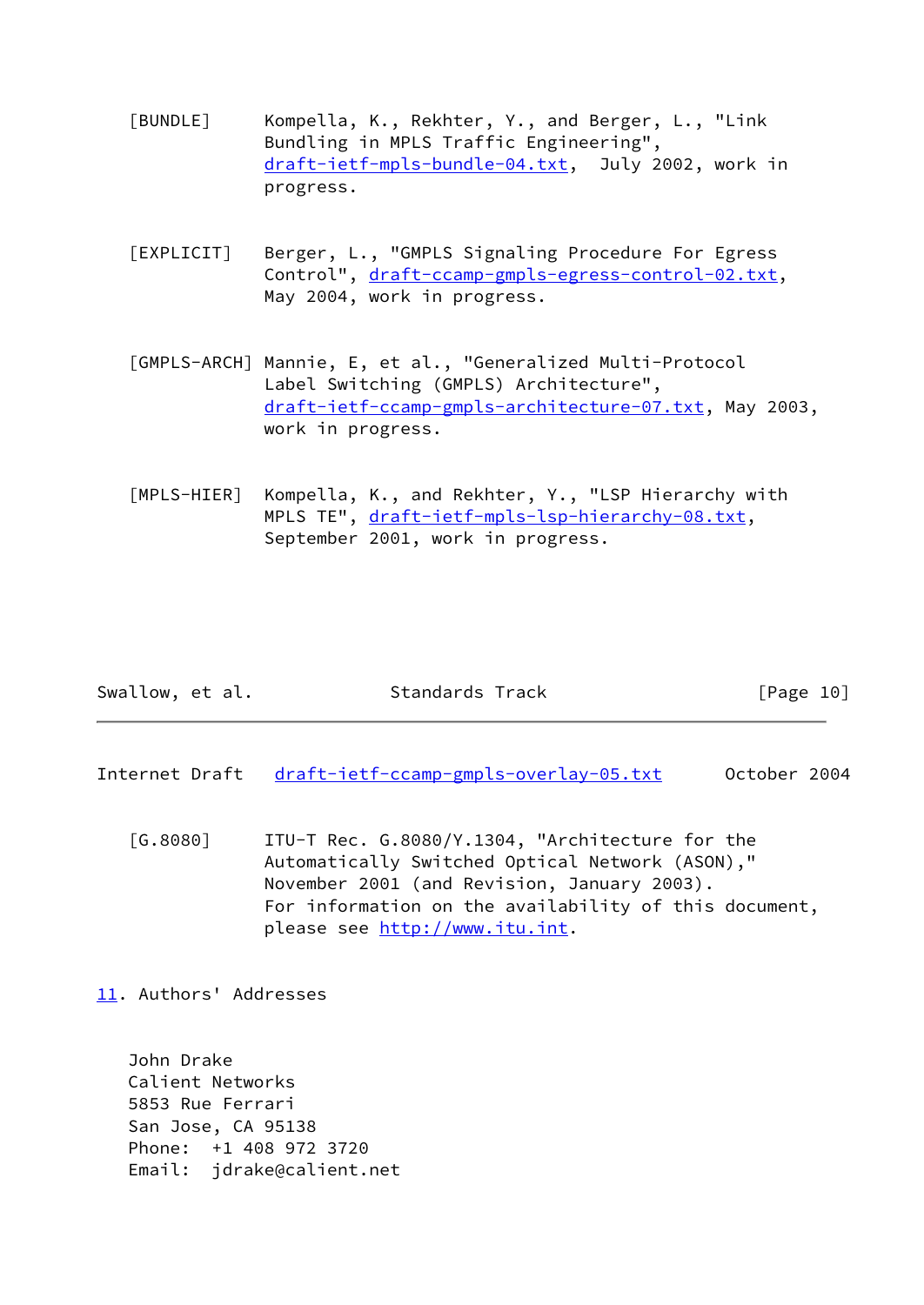- <span id="page-13-5"></span> [BUNDLE] Kompella, K., Rekhter, Y., and Berger, L., "Link Bundling in MPLS Traffic Engineering", [draft-ietf-mpls-bundle-04.txt](https://datatracker.ietf.org/doc/pdf/draft-ietf-mpls-bundle-04.txt), July 2002, work in progress.
- <span id="page-13-6"></span> [EXPLICIT] Berger, L., "GMPLS Signaling Procedure For Egress Control", [draft-ccamp-gmpls-egress-control-02.txt](https://datatracker.ietf.org/doc/pdf/draft-ccamp-gmpls-egress-control-02.txt), May 2004, work in progress.
- <span id="page-13-3"></span> [GMPLS-ARCH] Mannie, E, et al., "Generalized Multi-Protocol Label Switching (GMPLS) Architecture", [draft-ietf-ccamp-gmpls-architecture-07.txt,](https://datatracker.ietf.org/doc/pdf/draft-ietf-ccamp-gmpls-architecture-07.txt) May 2003, work in progress.
- <span id="page-13-2"></span>[MPLS-HIER] Kompella, K., and Rekhter, Y., "LSP Hierarchy with MPLS TE", [draft-ietf-mpls-lsp-hierarchy-08.txt,](https://datatracker.ietf.org/doc/pdf/draft-ietf-mpls-lsp-hierarchy-08.txt) September 2001, work in progress.

| Swallow, et al. | Standards Track | [Page 10] |
|-----------------|-----------------|-----------|
|-----------------|-----------------|-----------|

<span id="page-13-1"></span>Internet Draft [draft-ietf-ccamp-gmpls-overlay-05.txt](https://datatracker.ietf.org/doc/pdf/draft-ietf-ccamp-gmpls-overlay-05.txt) 0ctober 2004

<span id="page-13-4"></span> [G.8080] ITU-T Rec. G.8080/Y.1304, "Architecture for the Automatically Switched Optical Network (ASON)," November 2001 (and Revision, January 2003). For information on the availability of this document, please see<http://www.itu.int>.

<span id="page-13-0"></span>[11.](#page-13-0) Authors' Addresses

 John Drake Calient Networks 5853 Rue Ferrari San Jose, CA 95138 Phone: +1 408 972 3720 Email: jdrake@calient.net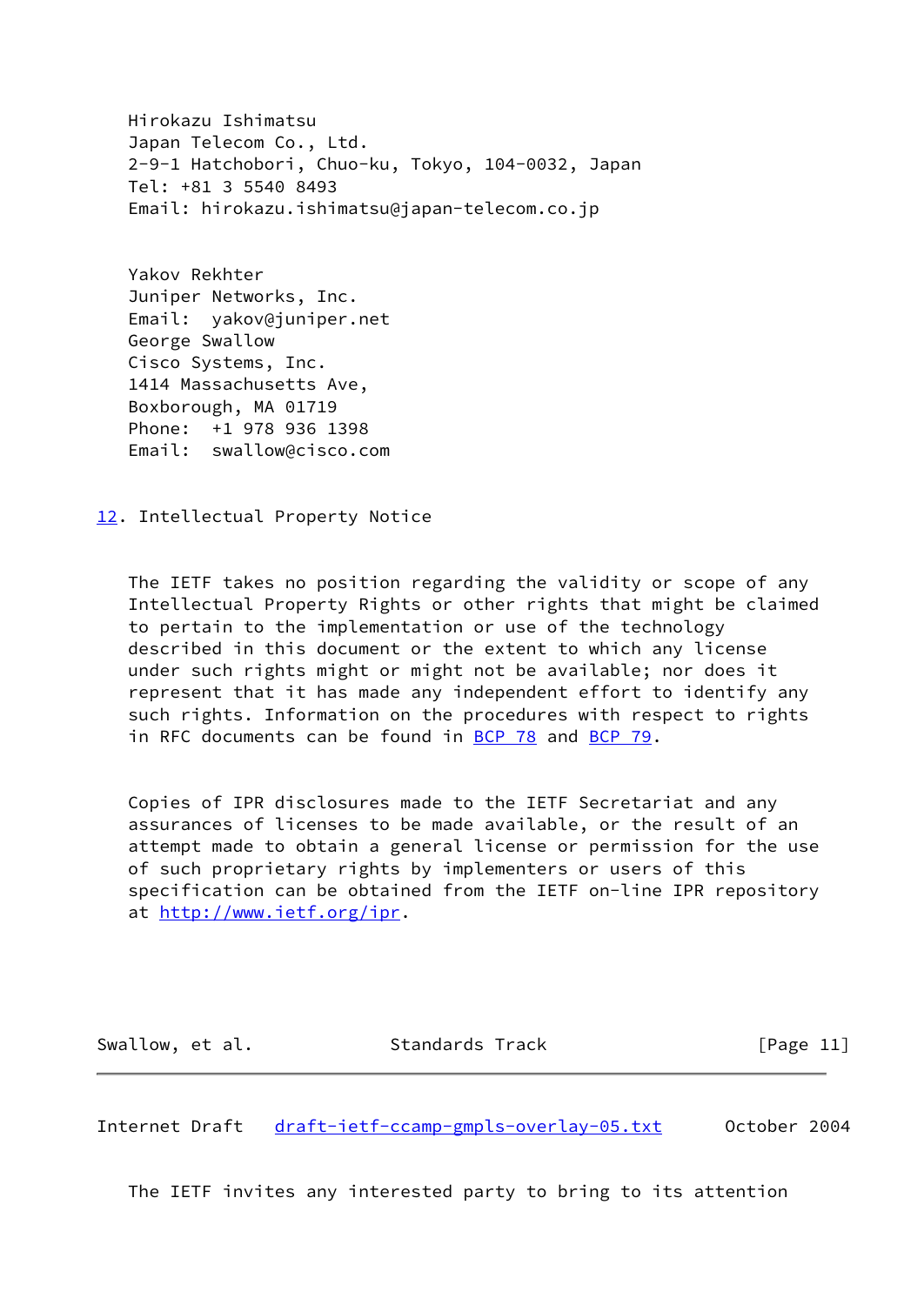Hirokazu Ishimatsu Japan Telecom Co., Ltd. 2-9-1 Hatchobori, Chuo-ku, Tokyo, 104-0032, Japan Tel: +81 3 5540 8493 Email: hirokazu.ishimatsu@japan-telecom.co.jp

 Yakov Rekhter Juniper Networks, Inc. Email: yakov@juniper.net George Swallow Cisco Systems, Inc. 1414 Massachusetts Ave, Boxborough, MA 01719 Phone: +1 978 936 1398 Email: swallow@cisco.com

<span id="page-14-0"></span>[12.](#page-14-0) Intellectual Property Notice

 The IETF takes no position regarding the validity or scope of any Intellectual Property Rights or other rights that might be claimed to pertain to the implementation or use of the technology described in this document or the extent to which any license under such rights might or might not be available; nor does it represent that it has made any independent effort to identify any such rights. Information on the procedures with respect to rights in RFC documents can be found in [BCP 78](https://datatracker.ietf.org/doc/pdf/bcp78) and [BCP 79](https://datatracker.ietf.org/doc/pdf/bcp79).

 Copies of IPR disclosures made to the IETF Secretariat and any assurances of licenses to be made available, or the result of an attempt made to obtain a general license or permission for the use of such proprietary rights by implementers or users of this specification can be obtained from the IETF on-line IPR repository at <http://www.ietf.org/ipr>.

Swallow, et al. Standards Track [Page 11]

<span id="page-14-1"></span>Internet Draft [draft-ietf-ccamp-gmpls-overlay-05.txt](https://datatracker.ietf.org/doc/pdf/draft-ietf-ccamp-gmpls-overlay-05.txt) October 2004

The IETF invites any interested party to bring to its attention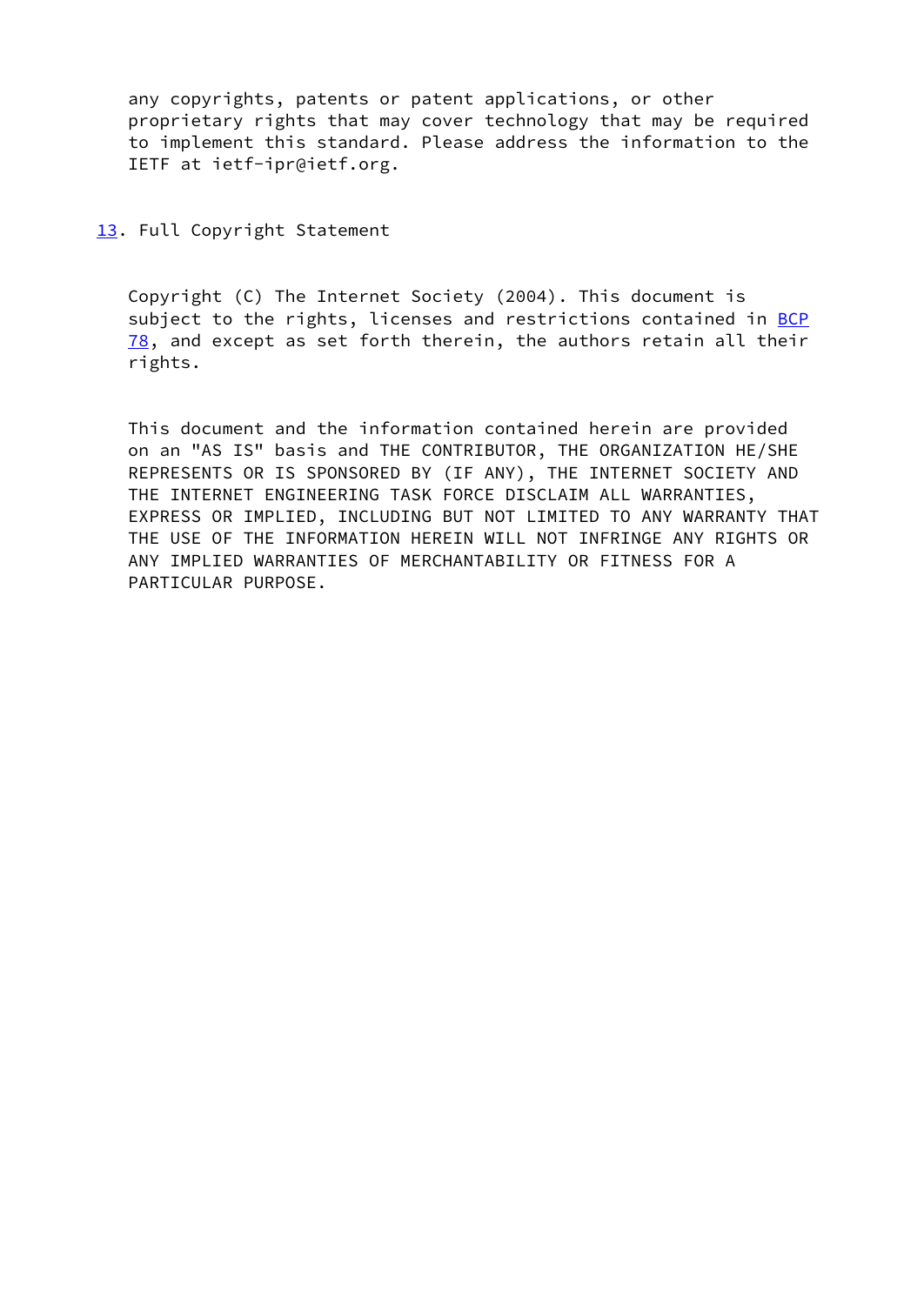any copyrights, patents or patent applications, or other proprietary rights that may cover technology that may be required to implement this standard. Please address the information to the IETF at ietf-ipr@ietf.org.

<span id="page-15-0"></span>[13.](#page-15-0) Full Copyright Statement

 Copyright (C) The Internet Society (2004). This document is subject to the rights, licenses and restrictions contained in [BCP](https://datatracker.ietf.org/doc/pdf/bcp78) [78](https://datatracker.ietf.org/doc/pdf/bcp78), and except as set forth therein, the authors retain all their rights.

 This document and the information contained herein are provided on an "AS IS" basis and THE CONTRIBUTOR, THE ORGANIZATION HE/SHE REPRESENTS OR IS SPONSORED BY (IF ANY), THE INTERNET SOCIETY AND THE INTERNET ENGINEERING TASK FORCE DISCLAIM ALL WARRANTIES, EXPRESS OR IMPLIED, INCLUDING BUT NOT LIMITED TO ANY WARRANTY THAT THE USE OF THE INFORMATION HEREIN WILL NOT INFRINGE ANY RIGHTS OR ANY IMPLIED WARRANTIES OF MERCHANTABILITY OR FITNESS FOR A PARTICULAR PURPOSE.